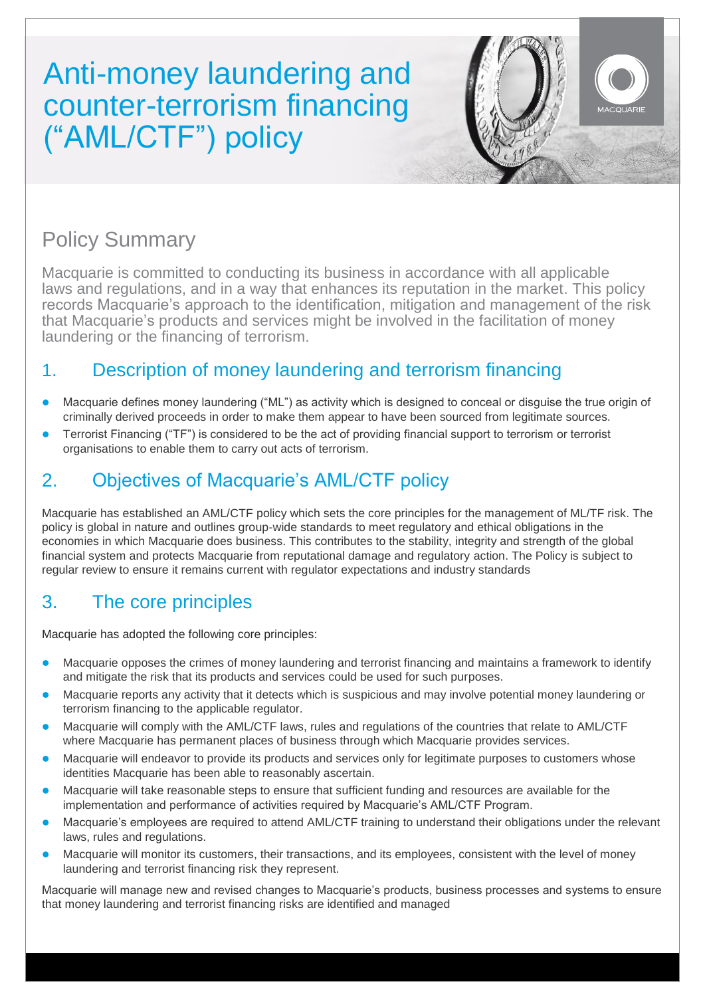# Anti-money laundering and counter-terrorism financing ("AML/CTF") policy



## Policy Summary

Macquarie is committed to conducting its business in accordance with all applicable laws and regulations, and in a way that enhances its reputation in the market. This policy records Macquarie's approach to the identification, mitigation and management of the risk that Macquarie's products and services might be involved in the facilitation of money laundering or the financing of terrorism.

### 1. Description of money laundering and terrorism financing

- Macquarie defines money laundering ("ML") as activity which is designed to conceal or disguise the true origin of criminally derived proceeds in order to make them appear to have been sourced from legitimate sources.
- Terrorist Financing ("TF") is considered to be the act of providing financial support to terrorism or terrorist organisations to enable them to carry out acts of terrorism.

### 2. Objectives of Macquarie's AML/CTF policy

Macquarie has established an AML/CTF policy which sets the core principles for the management of ML/TF risk. The policy is global in nature and outlines group-wide standards to meet regulatory and ethical obligations in the economies in which Macquarie does business. This contributes to the stability, integrity and strength of the global financial system and protects Macquarie from reputational damage and regulatory action. The Policy is subject to regular review to ensure it remains current with regulator expectations and industry standards

#### 3. The core principles

Macquarie has adopted the following core principles:

- Macquarie opposes the crimes of money laundering and terrorist financing and maintains a framework to identify and mitigate the risk that its products and services could be used for such purposes.
- Macquarie reports any activity that it detects which is suspicious and may involve potential money laundering or terrorism financing to the applicable regulator.
- Macquarie will comply with the AML/CTF laws, rules and regulations of the countries that relate to AML/CTF where Macquarie has permanent places of business through which Macquarie provides services.
- Macquarie will endeavor to provide its products and services only for legitimate purposes to customers whose identities Macquarie has been able to reasonably ascertain.
- Macquarie will take reasonable steps to ensure that sufficient funding and resources are available for the implementation and performance of activities required by Macquarie's AML/CTF Program.
- Macquarie's employees are required to attend AML/CTF training to understand their obligations under the relevant laws, rules and regulations.
- Macquarie will monitor its customers, their transactions, and its employees, consistent with the level of money laundering and terrorist financing risk they represent.

Macquarie will manage new and revised changes to Macquarie's products, business processes and systems to ensure that money laundering and terrorist financing risks are identified and managed